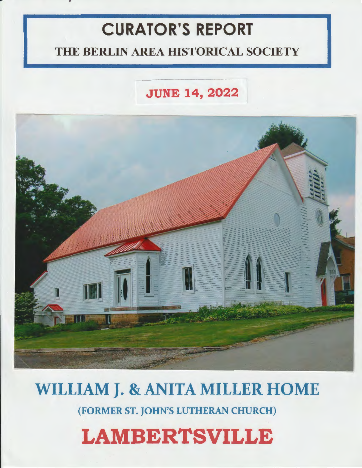## **CURATOR'S REPORT**

## THE BERLIN AREA HISTORICAL SOCIETY

## **JUNE 14, 2022**



# WILLIAM **J.** & ANITA MILLER HOME

(FORMER ST. JOHN'S LUTHERAN CHURCH)

# **LAMBERTSVILLE**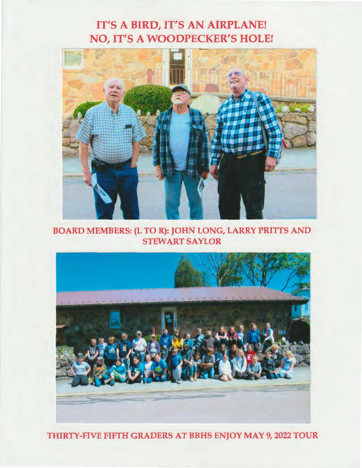### IT'S A BIRD, IT'S AN AIRPLANE! NO, IT'S A WOODPECKER'S HOLE!



BOARD MEMBERS: (L TO R): JOHN LONG, LARRY PRITTS AND STEWART SAYLOR



THIRTY-FIVE FIFTH GRADERS AT BBHS ENJOY MAY 9, 2022 TOUR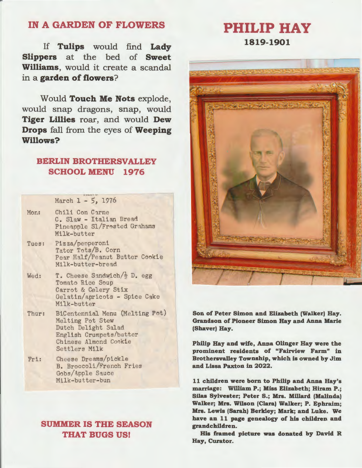### **IN A GARDEN OF FLOWERS**

If **Tulips** would find **Lady Slippers** at the bed of **Sweet Williams,** would it create a scandal in a **garden of flowers?** 

Would **Touch Me Nots** explode, would snap dragons, snap, would **Tiger Lillies** roar, and would **Dew Drops** fall from the eyes of **Weeping Willows?** 

### **BERLIN BROTHERSVALLEY SCHOOL MENU 1976**

March 1 - 5, 1976

- Mon: Chili Con Carne C. Slaw - Italian Bread Pineapple Sl/Frosted Grahams Milk-butter
- Tues: Pizza/penperoni Tator Tots/B. Corn Pear Half/Peanut Butter Cookie Milk-butter-bread
- Wed: T. Cheese Sandwich $\frac{1}{2}$  D. egg Tomato Rice Soup Carrot & Celery Stix Gelatin/apricots - Spice Cake Milk-butter
- Thur: BiCentennial Menu (Melting Pot) Melting Pot Stew Dutch Delight Salad English Crumpets/butter Chinese Almond Cookie Settlers **Milk**
- Fri: Cheese Dreams/pickle B. Broccoli/French Fries Gobs/Apple Sauce Milk-butter-bun

### **SUMMER IS THE SEASON THAT BUGS US!**

**1819-1901** 

**PHILIP HAY** 



**Son of Peter Simon and Elizabeth (Walker) Hay. Grandson of Pioneer Simon Hay and Anna Marie (Shaver) Hay.** 

**Philip Hay and wife, Anna Olinger Hay were the prominent residents of "Fairview Farm" in Brothersvalley Township, which is owned by Jim and Lissa Paxton** in **2022.** 

**11 children were born to Philip and Anna Hay's marriage: William P.; Miss Elizabeth; Hiram P.; Silas Sylvester; Peter S.; Mrs. Millard (Malinda) Walker; Mrs. Wilson (Clara) Walker; P. Ephraim; Mrs. Lewis (Sarah) Berkley; Mark; and Luke. We have an 11 page genealogy of his children and grandchildren.** 

**His framed picture was donated by David R Hay, Curator.**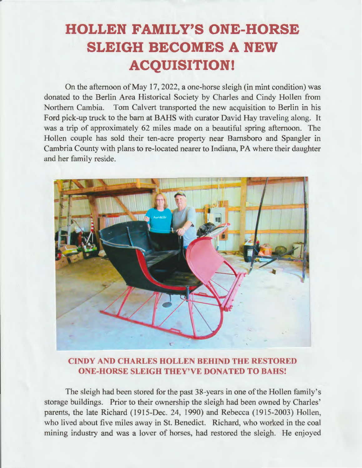## **HOLLEN FAMILY'S ONE-HORSE SLEIGH BECOMES A NEW ACQUISITION!**

On the afternoon of May 17, 2022, a one-horse sleigh (in mint condition) was donated to the Berlin Area Historical Society by Charles and Cindy Hollen from Northern Cambia. Tom Calvert transported the new acquisition to Berlin in his Ford pick-up truck to the barn at BAHS with curator David Hay traveling along. It was a trip of approximately 62 miles made on a beautiful spring afternoon. The Hollen couple has sold their ten-acre property near Barnsboro and Spangler in Cambria County with plans to re-located nearer to Indiana, PA where their daughter and her family reside.



### **CINDY AND CHARLES HOLLEN BEHIND THE RESTORED ONE-HORSE SLEIGH THEY'VE DONATED TO BAHS!**

The sleigh had been stored for the past 38-years in one of the Hollen family's storage buildings. Prior to their ownership the sleigh had been owned by Charles' parents, the late Richard (1915-Dec. 24, 1990) and Rebecca (1915-2003) Hollen, who lived about five miles away in St. Benedict. Richard, who worked in the coal mining industry and was a lover of horses, had restored the sleigh. He enjoyed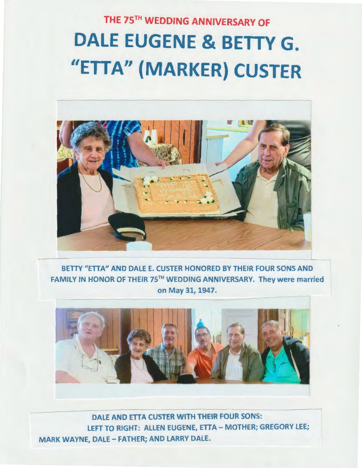# THE 75TH WEDDING ANNIVERSARY OF DALE EUGENE & BETTY G. "ETTA" **(MARKER)** CUSTER



BETTY "ETTA" AND DALE E. CUSTER HONORED BY THEIR FOUR SONS AND FAMILY IN HONOR OF THEIR 75TH WEDDING ANNIVERSARY. They were married on May 31, 1947.



DALE AND ETTA CUSTER WITH THEIR FOUR SONS: LEFT TO RIGHT: ALLEN EUGENE, ETTA - MOTHER; GREGORY LEE; MARK WAYNE, DALE- FATHER; AND LARRY DALE.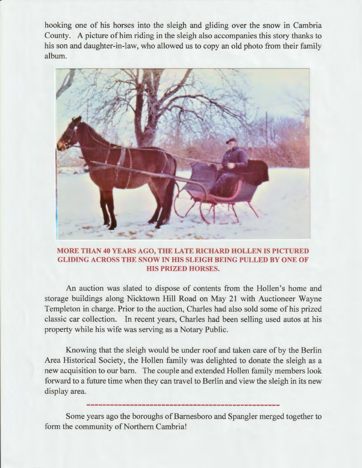hooking one of his horses into the sleigh and gliding over the snow in Cambria County. A picture of him riding in the sleigh also accompanies this story thanks to his son and daughter-in-law, who allowed us to copy an old photo from their family album.



#### **MORE THAN 40 YEARS AGO, THE LATE RICHARD HOLLEN IS PICTURED GLIDING ACROSS THE SNOW IN HIS SLEIGH BEING PULLED BY ONE OF HIS PRIZED HORSES.**

An auction was slated to dispose of contents from the Hollen's home and storage buildings along Nicktown Hill Road on May 21 with Auctioneer Wayne Templeton in charge. Prior to the auction, Charles had also sold some of his prized classic car collection. In recent years, Charles had been selling used autos at his property while his wife was serving as a Notary Public.

Knowing that the sleigh would be under roof and taken care of by the Berlin Area Historical Society, the Hollen family was delighted to donate the sleigh as a new acquisition to our barn. The couple and extended Hollen family members look forward to a future time when they can travel to Berlin and view the sleigh in its new display area.

Some years ago the boroughs of Barnesboro and Spangler merged together to form the community of Northern Cambria!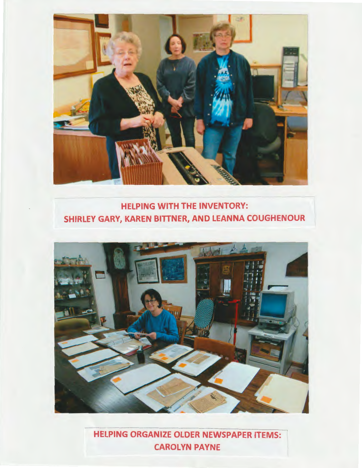

### HELPING WITH THE INVENTORY: SHIRLEY GARV, KAREN BITTNER, AND LEANNA COUGHENOUR



- HELPING ORGANIZE OLDER NEWSPAPER ITEMS: CAROLYN PAYNE